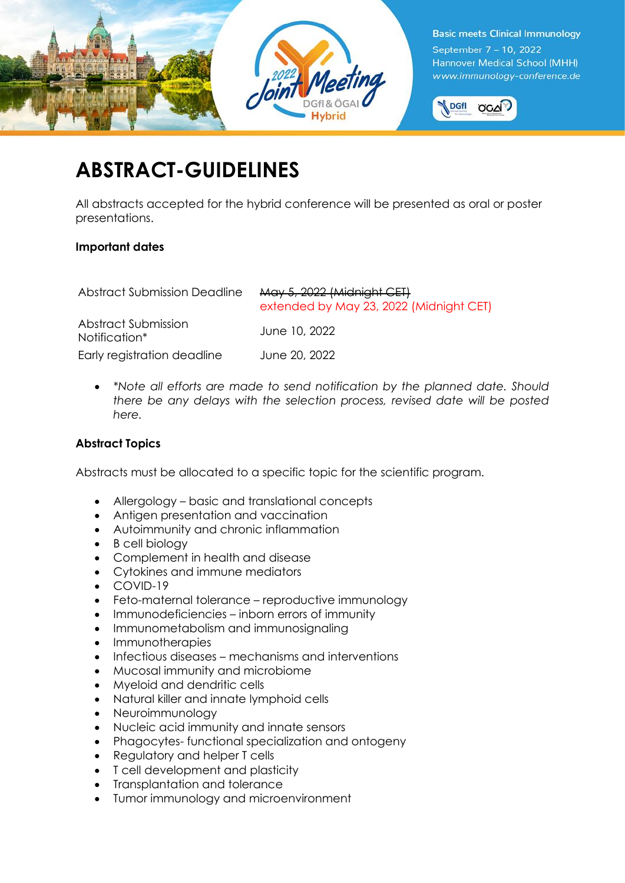



# **ABSTRACT-GUIDELINES**

All abstracts accepted for the hybrid conference will be presented as oral or poster presentations.

# **Important dates**

| <b>Abstract Submission Deadline</b>  | May 5, 2022 (Midnight CET)<br>extended by May 23, 2022 (Midnight CET) |
|--------------------------------------|-----------------------------------------------------------------------|
| Abstract Submission<br>Notification* | June 10, 2022                                                         |
| Early registration deadline          | June 20, 2022                                                         |

• *\*Note all efforts are made to send notification by the planned date. Should there be any delays with the selection process, revised date will be posted here.*

# **Abstract Topics**

Abstracts must be allocated to a specific topic for the scientific program.

- Allergology basic and translational concepts
- Antigen presentation and vaccination
- Autoimmunity and chronic inflammation
- B cell biology
- Complement in health and disease
- Cytokines and immune mediators
- COVID-19
- Feto-maternal tolerance reproductive immunology
- Immunodeficiencies inborn errors of immunity
- Immunometabolism and immunosignaling
- Immunotherapies
- Infectious diseases mechanisms and interventions
- Mucosal immunity and microbiome
- Myeloid and dendritic cells
- Natural killer and innate lymphoid cells
- Neuroimmunology
- Nucleic acid immunity and innate sensors
- Phagocytes- functional specialization and ontogeny
- Regulatory and helper T cells
- T cell development and plasticity
- Transplantation and tolerance
- Tumor immunology and microenvironment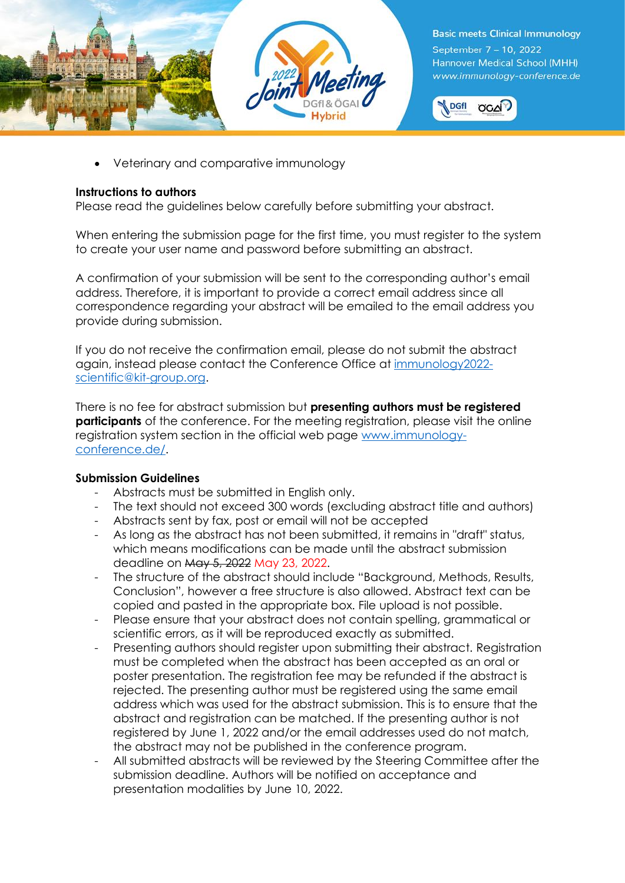



• Veterinary and comparative immunology

## **Instructions to authors**

Please read the guidelines below carefully before submitting your abstract.

When entering the submission page for the first time, you must [register](https://www.abstractagent.com/av4/sign.asp?pdir=2021eci&plng=eng) to the system to create your user name and password before submitting an abstract.

A confirmation of your submission will be sent to the corresponding author's email address. Therefore, it is important to provide a correct email address since all correspondence regarding your abstract will be emailed to the email address you provide during submission.

If you do not receive the confirmation email, please do not submit the abstract again, instead please contact the Conference Office at [immunology2022](immunology2022-scientific@kit-group.org) [scientific@kit-group.org.](immunology2022-scientific@kit-group.org)

There is no fee for abstract submission but **presenting authors must be registered participants** of the conference. For the meeting registration, please visit the online registration system section in the official web page [www.immunology](http://www.immunology-conference.de/)[conference.de/.](http://www.immunology-conference.de/)

# **Submission Guidelines**

- Abstracts must be submitted in English only.
- The text should not exceed 300 words (excluding abstract title and authors)
- Abstracts sent by fax, post or email will not be accepted
- As long as the abstract has not been submitted, it remains in "draft" status, which means modifications can be made until the abstract submission deadline on May 5, 2022 May 23, 2022.
- The structure of the abstract should include "Background, Methods, Results, Conclusion", however a free structure is also allowed. Abstract text can be copied and pasted in the appropriate box. File upload is not possible.
- Please ensure that your abstract does not contain spelling, grammatical or scientific errors, as it will be reproduced exactly as submitted.
- Presenting authors should register upon submitting their abstract. Registration must be completed when the abstract has been accepted as an oral or poster presentation. The registration fee may be refunded if the abstract is rejected. The presenting author must be registered using the same email address which was used for the abstract submission. This is to ensure that the abstract and registration can be matched. If the presenting author is not registered by June 1, 2022 and/or the email addresses used do not match, the abstract may not be published in the conference program.
- All submitted abstracts will be reviewed by the Steering Committee after the submission deadline. Authors will be notified on acceptance and presentation modalities by June 10, 2022.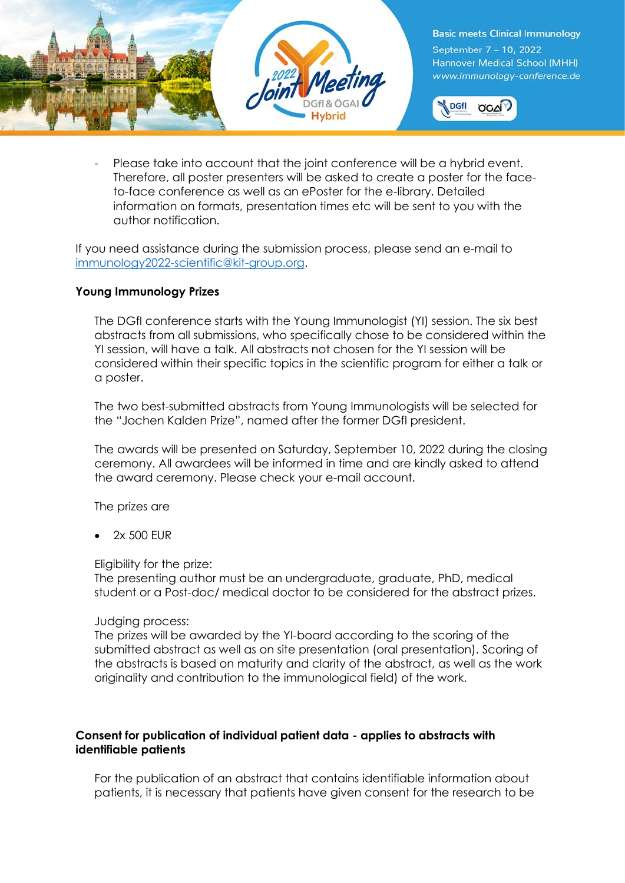



Please take into account that the joint conference will be a hybrid event. Therefore, all poster presenters will be asked to create a poster for the faceto-face conference as well as an ePoster for the e-library. Detailed information on formats, presentation times etc will be sent to you with the author notification.

If you need assistance during the submission process, please send an e-mail to [immunology2022-scientific@kit-group.org.](immunology2022-scientific@kit-group.org)

### **Young Immunology Prizes**

The DGfI conference starts with the Young Immunologist (YI) session. The six best abstracts from all submissions, who specifically chose to be considered within the YI session, will have a talk. All abstracts not chosen for the YI session will be considered within their specific topics in the scientific program for either a talk or a poster.

The two best-submitted abstracts from Young Immunologists will be selected for the "Jochen Kalden Prize", named after the former DGfI president.

The awards will be presented on Saturday, September 10, 2022 during the closing ceremony. All awardees will be informed in time and are kindly asked to attend the award ceremony. Please check your e-mail account.

The prizes are

• 2x 500 EUR

Eligibility for the prize:

The presenting author must be an undergraduate, graduate, PhD, medical student or a Post-doc/ medical doctor to be considered for the abstract prizes.

#### Judging process:

The prizes will be awarded by the YI-board according to the scoring of the submitted abstract as well as on site presentation (oral presentation). Scoring of the abstracts is based on maturity and clarity of the abstract, as well as the work originality and contribution to the immunological field) of the work.

### **Consent for publication of individual patient data - applies to abstracts with identifiable patients**

For the publication of an abstract that contains identifiable information about patients, it is necessary that patients have given consent for the research to be